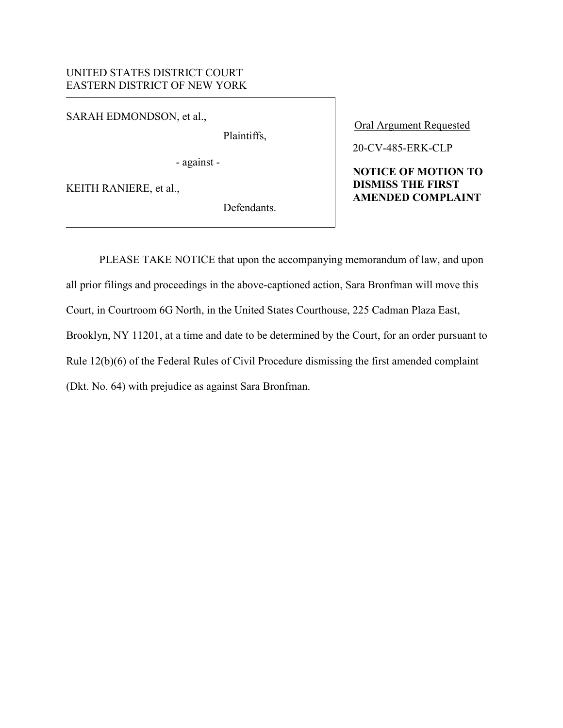## UNITED STATES DISTRICT COURT EASTERN DISTRICT OF NEW YORK

SARAH EDMONDSON, et al.,

Plaintiffs,

- against -

KEITH RANIERE, et al.,

Defendants.

Oral Argument Requested

## 20-CV-485-ERK-CLP

## **NOTICE OF MOTION TO DISMISS THE FIRST AMENDED COMPLAINT**

 PLEASE TAKE NOTICE that upon the accompanying memorandum of law, and upon all prior filings and proceedings in the above-captioned action, Sara Bronfman will move this Court, in Courtroom 6G North, in the United States Courthouse, 225 Cadman Plaza East, Brooklyn, NY 11201, at a time and date to be determined by the Court, for an order pursuant to Rule 12(b)(6) of the Federal Rules of Civil Procedure dismissing the first amended complaint (Dkt. No. 64) with prejudice as against Sara Bronfman.